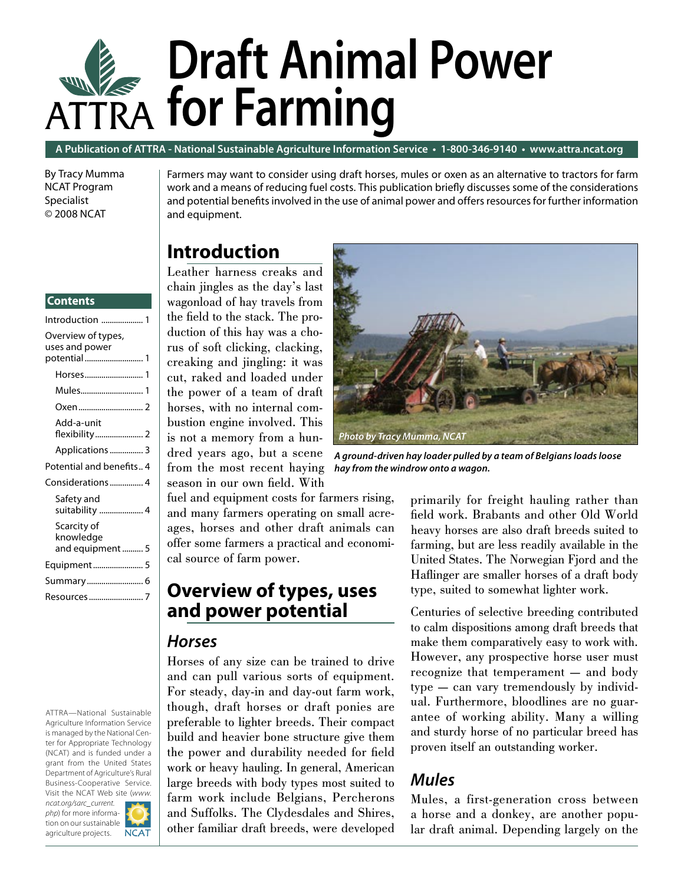# ATTRA **for Farming Draft Animal Power**

#### **A Publication of ATTRA - National Sustainable Agriculture Information Service • 1-800-346-9140 • www.attra.ncat.org**

By Tracy Mumma NCAT Program Specialist © 2008 NCAT

Farmers may want to consider using draft horses, mules or oxen as an alternative to tractors for farm work and a means of reducing fuel costs. This publication briefly discusses some of the considerations and potential benefits involved in the use of animal power and offers resources for further information and equipment.

## **Introduction**

#### **Contents**

ATTRA—National Sustainable Agriculture Information Service is managed by the National Center for Appropriate Technology (NCAT) and is funded under a grant from the United States Department of Agriculture's Rural Business-Cooperative Service. Visit the NCAT Web site (www.



**NCAT** 

Leather harness creaks and chain jingles as the day's last wagonload of hay travels from the field to the stack. The production of this hay was a chorus of soft clicking, clacking, creaking and jingling: it was cut, raked and loaded under the power of a team of draft horses, with no internal combustion engine involved. This is not a memory from a hundred years ago, but a scene from the most recent haying

season in our own field. With

fuel and equipment costs for farmers rising, and many farmers operating on small acreages, horses and other draft animals can offer some farmers a practical and economical source of farm power.

## **Overview of types, uses and power potential**

## **Horses**

Horses of any size can be trained to drive and can pull various sorts of equipment. For steady, day-in and day-out farm work, though, draft horses or draft ponies are preferable to lighter breeds. Their compact build and heavier bone structure give them the power and durability needed for field work or heavy hauling. In general, American large breeds with body types most suited to farm work include Belgians, Percherons and Suffolks. The Clydesdales and Shires, other familiar draft breeds, were developed



**A ground-driven hay loader pulled by a team of Belgians loads loose hay from the windrow onto a wagon.** 

primarily for freight hauling rather than field work. Brabants and other Old World heavy horses are also draft breeds suited to farming, but are less readily available in the United States. The Norwegian Fjord and the Haflinger are smaller horses of a draft body type, suited to somewhat lighter work.

Centuries of selective breeding contributed to calm dispositions among draft breeds that make them comparatively easy to work with. However, any prospective horse user must recognize that temperament — and body type — can vary tremendously by individual. Furthermore, bloodlines are no guarantee of working ability. Many a willing and sturdy horse of no particular breed has proven itself an outstanding worker.

## **Mules**

Mules, a first-generation cross between a horse and a donkey, are another popular draft animal. Depending largely on the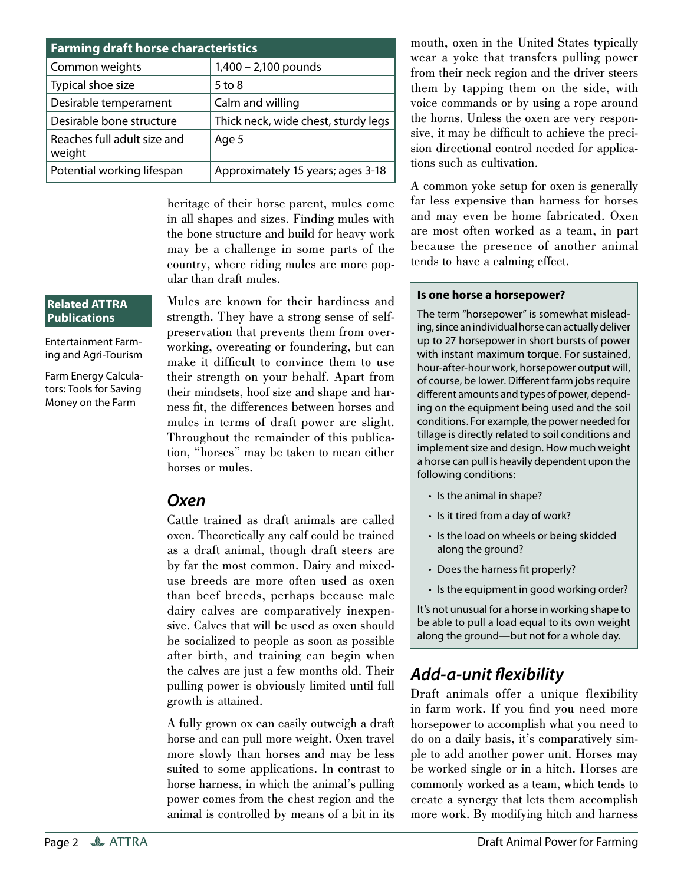| <b>Farming draft horse characteristics</b> |                                     |
|--------------------------------------------|-------------------------------------|
| Common weights                             | $1,400 - 2,100$ pounds              |
| Typical shoe size                          | $5$ to $8$                          |
| Desirable temperament                      | Calm and willing                    |
| Desirable bone structure                   | Thick neck, wide chest, sturdy legs |
| Reaches full adult size and<br>weight      | Age 5                               |
| Potential working lifespan                 | Approximately 15 years; ages 3-18   |

heritage of their horse parent, mules come in all shapes and sizes. Finding mules with the bone structure and build for heavy work may be a challenge in some parts of the country, where riding mules are more popular than draft mules.

#### **Related ATTRA Publications**

Entertainment Farming and Agri-Tourism

Farm Energy Calculators: Tools for Saving Money on the Farm

Mules are known for their hardiness and strength. They have a strong sense of selfpreservation that prevents them from overworking, overeating or foundering, but can make it difficult to convince them to use their strength on your behalf. Apart from their mindsets, hoof size and shape and harness fit, the differences between horses and mules in terms of draft power are slight. Throughout the remainder of this publication, "horses" may be taken to mean either horses or mules.

## **Oxen**

Cattle trained as draft animals are called oxen. Theoretically any calf could be trained as a draft animal, though draft steers are by far the most common. Dairy and mixeduse breeds are more often used as oxen than beef breeds, perhaps because male dairy calves are comparatively inexpensive. Calves that will be used as oxen should be socialized to people as soon as possible after birth, and training can begin when the calves are just a few months old. Their pulling power is obviously limited until full growth is attained.

A fully grown ox can easily outweigh a draft horse and can pull more weight. Oxen travel more slowly than horses and may be less suited to some applications. In contrast to horse harness, in which the animal's pulling power comes from the chest region and the animal is controlled by means of a bit in its mouth, oxen in the United States typically wear a yoke that transfers pulling power from their neck region and the driver steers them by tapping them on the side, with voice commands or by using a rope around the horns. Unless the oxen are very responsive, it may be difficult to achieve the precision directional control needed for applications such as cultivation.

A common yoke setup for oxen is generally far less expensive than harness for horses and may even be home fabricated. Oxen are most often worked as a team, in part because the presence of another animal tends to have a calming effect.

#### **Is one horse a horsepower?**

The term "horsepower" is somewhat misleading, since an individual horse can actually deliver up to 27 horsepower in short bursts of power with instant maximum torque. For sustained, hour-after-hour work, horsepower output will, of course, be lower. Different farm jobs require different amounts and types of power, depending on the equipment being used and the soil conditions. For example, the power needed for tillage is directly related to soil conditions and implement size and design. How much weight a horse can pull is heavily dependent upon the following conditions:

- Is the animal in shape?
- Is it tired from a day of work?
- Is the load on wheels or being skidded along the ground?
- Does the harness fit properly?
- Is the equipment in good working order?

It's not unusual for a horse in working shape to be able to pull a load equal to its own weight along the ground—but not for a whole day.

# **Add-a-unit flexibility**

Draft animals offer a unique flexibility in farm work. If you find you need more horsepower to accomplish what you need to do on a daily basis, it's comparatively simple to add another power unit. Horses may be worked single or in a hitch. Horses are commonly worked as a team, which tends to create a synergy that lets them accomplish more work. By modifying hitch and harness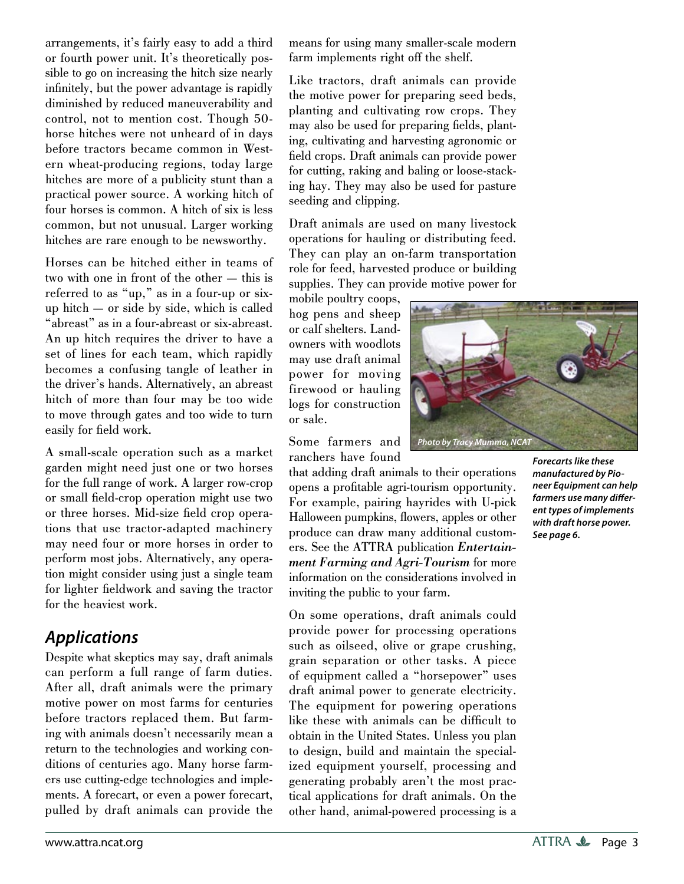arrangements, it's fairly easy to add a third or fourth power unit. It's theoretically possible to go on increasing the hitch size nearly infinitely, but the power advantage is rapidly diminished by reduced maneuverability and control, not to mention cost. Though 50 horse hitches were not unheard of in days before tractors became common in Western wheat-producing regions, today large hitches are more of a publicity stunt than a practical power source. A working hitch of four horses is common. A hitch of six is less common, but not unusual. Larger working hitches are rare enough to be newsworthy.

Horses can be hitched either in teams of two with one in front of the other — this is referred to as "up," as in a four-up or sixup hitch — or side by side, which is called "abreast" as in a four-abreast or six-abreast. An up hitch requires the driver to have a set of lines for each team, which rapidly becomes a confusing tangle of leather in the driver's hands. Alternatively, an abreast hitch of more than four may be too wide to move through gates and too wide to turn easily for field work.

A small-scale operation such as a market garden might need just one or two horses for the full range of work. A larger row-crop or small field-crop operation might use two or three horses. Mid-size field crop operations that use tractor-adapted machinery may need four or more horses in order to perform most jobs. Alternatively, any operation might consider using just a single team for lighter fieldwork and saving the tractor for the heaviest work.

## **Applications**

Despite what skeptics may say, draft animals can perform a full range of farm duties. After all, draft animals were the primary motive power on most farms for centuries before tractors replaced them. But farming with animals doesn't necessarily mean a return to the technologies and working conditions of centuries ago. Many horse farmers use cutting-edge technologies and implements. A forecart, or even a power forecart, pulled by draft animals can provide the means for using many smaller-scale modern farm implements right off the shelf.

Like tractors, draft animals can provide the motive power for preparing seed beds, planting and cultivating row crops. They may also be used for preparing fields, planting, cultivating and harvesting agronomic or field crops. Draft animals can provide power for cutting, raking and baling or loose-stacking hay. They may also be used for pasture seeding and clipping.

Draft animals are used on many livestock operations for hauling or distributing feed. They can play an on-farm transportation role for feed, harvested produce or building supplies. They can provide motive power for

mobile poultry coops, hog pens and sheep or calf shelters. Landowners with woodlots may use draft animal power for moving firewood or hauling logs for construction or sale.

Some farmers and ranchers have found

that adding draft animals to their operations opens a profitable agri-tourism opportunity. For example, pairing hayrides with U-pick Halloween pumpkins, flowers, apples or other produce can draw many additional customers. See the ATTRA publication *Entertainment Farming and Agri-Tourism* for more information on the considerations involved in inviting the public to your farm.

On some operations, draft animals could provide power for processing operations such as oilseed, olive or grape crushing, grain separation or other tasks. A piece of equipment called a "horsepower" uses draft animal power to generate electricity. The equipment for powering operations like these with animals can be difficult to obtain in the United States. Unless you plan to design, build and maintain the specialized equipment yourself, processing and generating probably aren't the most practical applications for draft animals. On the other hand, animal-powered processing is a



**Forecarts like these manufactured by Pioneer Equipment can help farmers use many different types of implements with draft horse power. See page 6.**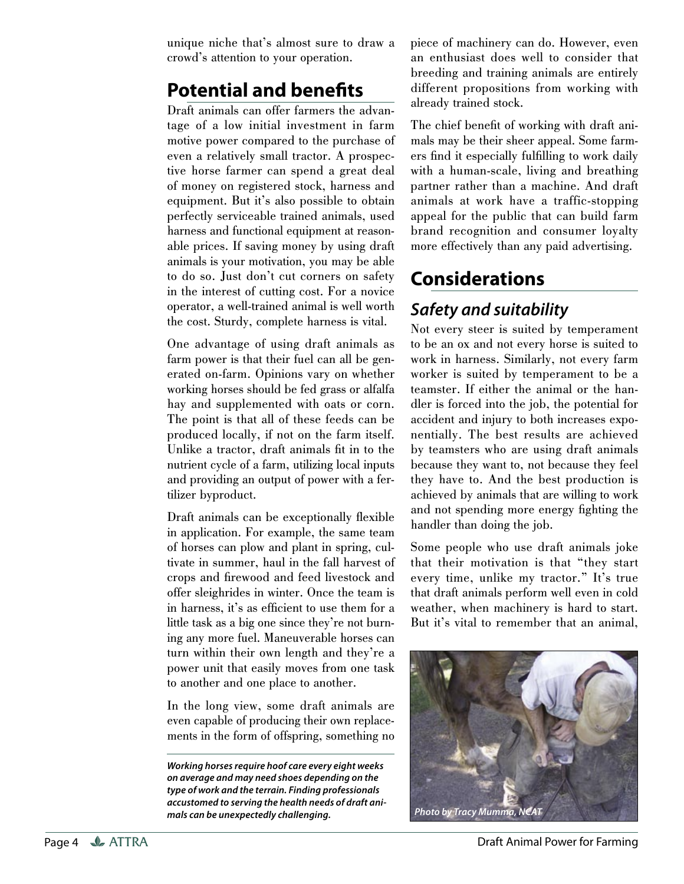unique niche that's almost sure to draw a crowd's attention to your operation.

# **Potential and benefits**

Draft animals can offer farmers the advantage of a low initial investment in farm motive power compared to the purchase of even a relatively small tractor. A prospective horse farmer can spend a great deal of money on registered stock, harness and equipment. But it's also possible to obtain perfectly serviceable trained animals, used harness and functional equipment at reasonable prices. If saving money by using draft animals is your motivation, you may be able to do so. Just don't cut corners on safety in the interest of cutting cost. For a novice operator, a well-trained animal is well worth the cost. Sturdy, complete harness is vital.

One advantage of using draft animals as farm power is that their fuel can all be generated on-farm. Opinions vary on whether working horses should be fed grass or alfalfa hay and supplemented with oats or corn. The point is that all of these feeds can be produced locally, if not on the farm itself. Unlike a tractor, draft animals fit in to the nutrient cycle of a farm, utilizing local inputs and providing an output of power with a fertilizer byproduct.

Draft animals can be exceptionally flexible in application. For example, the same team of horses can plow and plant in spring, cultivate in summer, haul in the fall harvest of crops and firewood and feed livestock and offer sleighrides in winter. Once the team is in harness, it's as efficient to use them for a little task as a big one since they're not burning any more fuel. Maneuverable horses can turn within their own length and they're a power unit that easily moves from one task to another and one place to another.

In the long view, some draft animals are even capable of producing their own replacements in the form of offspring, something no piece of machinery can do. However, even an enthusiast does well to consider that breeding and training animals are entirely different propositions from working with already trained stock.

The chief benefit of working with draft animals may be their sheer appeal. Some farmers find it especially fulfilling to work daily with a human-scale, living and breathing partner rather than a machine. And draft animals at work have a traffic-stopping appeal for the public that can build farm brand recognition and consumer loyalty more effectively than any paid advertising.

# **Considerations**

## **Safety and suitability**

Not every steer is suited by temperament to be an ox and not every horse is suited to work in harness. Similarly, not every farm worker is suited by temperament to be a teamster. If either the animal or the handler is forced into the job, the potential for accident and injury to both increases exponentially. The best results are achieved by teamsters who are using draft animals because they want to, not because they feel they have to. And the best production is achieved by animals that are willing to work and not spending more energy fighting the handler than doing the job.

Some people who use draft animals joke that their motivation is that "they start every time, unlike my tractor." It's true that draft animals perform well even in cold weather, when machinery is hard to start. But it's vital to remember that an animal,



Page 4 **ATTRA** Draft Animal Power for Farming

**Working horses require hoof care every eight weeks on average and may need shoes depending on the type of work and the terrain. Finding professionals accustomed to serving the health needs of draft animals can be unexpectedly challenging. Photo by Tracy Mumma, NCAT**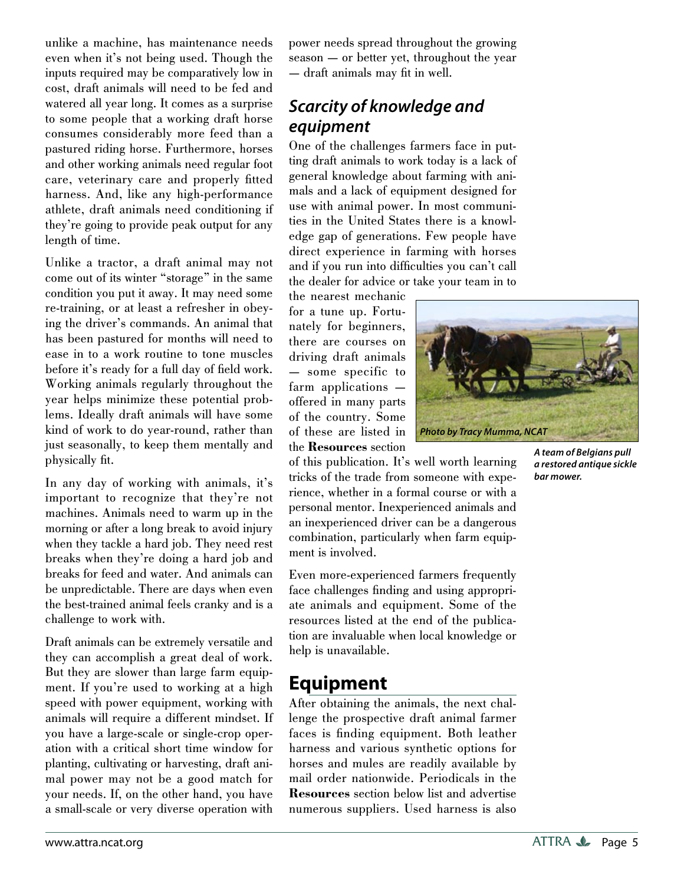unlike a machine, has maintenance needs even when it's not being used. Though the inputs required may be comparatively low in cost, draft animals will need to be fed and watered all year long. It comes as a surprise to some people that a working draft horse consumes considerably more feed than a pastured riding horse. Furthermore, horses and other working animals need regular foot care, veterinary care and properly fitted harness. And, like any high-performance athlete, draft animals need conditioning if they're going to provide peak output for any length of time.

Unlike a tractor, a draft animal may not come out of its winter "storage" in the same condition you put it away. It may need some re-training, or at least a refresher in obeying the driver's commands. An animal that has been pastured for months will need to ease in to a work routine to tone muscles before it's ready for a full day of field work. Working animals regularly throughout the year helps minimize these potential problems. Ideally draft animals will have some kind of work to do year-round, rather than just seasonally, to keep them mentally and physically fit.

In any day of working with animals, it's important to recognize that they're not machines. Animals need to warm up in the morning or after a long break to avoid injury when they tackle a hard job. They need rest breaks when they're doing a hard job and breaks for feed and water. And animals can be unpredictable. There are days when even the best-trained animal feels cranky and is a challenge to work with.

Draft animals can be extremely versatile and they can accomplish a great deal of work. But they are slower than large farm equipment. If you're used to working at a high speed with power equipment, working with animals will require a different mindset. If you have a large-scale or single-crop operation with a critical short time window for planting, cultivating or harvesting, draft animal power may not be a good match for your needs. If, on the other hand, you have a small-scale or very diverse operation with power needs spread throughout the growing season — or better yet, throughout the year — draft animals may fit in well.

## **Scarcity of knowledge and equipment**

One of the challenges farmers face in putting draft animals to work today is a lack of general knowledge about farming with animals and a lack of equipment designed for use with animal power. In most communities in the United States there is a knowledge gap of generations. Few people have direct experience in farming with horses and if you run into difficulties you can't call the dealer for advice or take your team in to

the nearest mechanic for a tune up. Fortunately for beginners, there are courses on driving draft animals — some specific to farm applications offered in many parts of the country. Some of these are listed in the **Resources** section

of this publication. It's well worth learning tricks of the trade from someone with experience, whether in a formal course or with a personal mentor. Inexperienced animals and an inexperienced driver can be a dangerous combination, particularly when farm equipment is involved.

Even more-experienced farmers frequently face challenges finding and using appropriate animals and equipment. Some of the resources listed at the end of the publication are invaluable when local knowledge or help is unavailable.

# **Equipment**

After obtaining the animals, the next challenge the prospective draft animal farmer faces is finding equipment. Both leather harness and various synthetic options for horses and mules are readily available by mail order nationwide. Periodicals in the **Resources** section below list and advertise numerous suppliers. Used harness is also



**A team of Belgians pull a restored antique sickle bar mower.**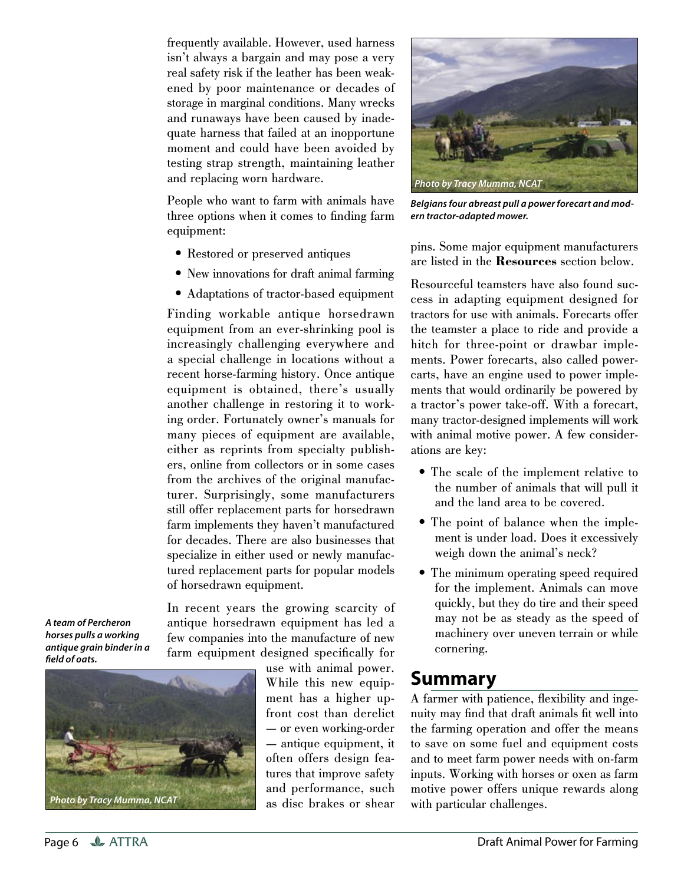frequently available. However, used harness isn't always a bargain and may pose a very real safety risk if the leather has been weakened by poor maintenance or decades of storage in marginal conditions. Many wrecks and runaways have been caused by inadequate harness that failed at an inopportune moment and could have been avoided by testing strap strength, maintaining leather and replacing worn hardware.

People who want to farm with animals have three options when it comes to finding farm equipment:

- Restored or preserved antiques
- New innovations for draft animal farming
- Adaptations of tractor-based equipment •

Finding workable antique horsedrawn equipment from an ever-shrinking pool is increasingly challenging everywhere and a special challenge in locations without a recent horse-farming history. Once antique equipment is obtained, there's usually another challenge in restoring it to working order. Fortunately owner's manuals for many pieces of equipment are available, either as reprints from specialty publishers, online from collectors or in some cases from the archives of the original manufacturer. Surprisingly, some manufacturers still offer replacement parts for horsedrawn farm implements they haven't manufactured for decades. There are also businesses that specialize in either used or newly manufactured replacement parts for popular models of horsedrawn equipment.

In recent years the growing scarcity of antique horsedrawn equipment has led a few companies into the manufacture of new farm equipment designed specifically for

**A team of Percheron horses pulls a working antique grain binder in a field of oats.**



use with animal power. While this new equipment has a higher upfront cost than derelict — or even working-order — antique equipment, it often offers design features that improve safety and performance, such as disc brakes or shear



**Belgians four abreast pull a power forecart and modern tractor-adapted mower.**

pins. Some major equipment manufacturers are listed in the **Resources** section below.

Resourceful teamsters have also found success in adapting equipment designed for tractors for use with animals. Forecarts offer the teamster a place to ride and provide a hitch for three-point or drawbar implements. Power forecarts, also called powercarts, have an engine used to power implements that would ordinarily be powered by a tractor's power take-off. With a forecart, many tractor-designed implements will work with animal motive power. A few considerations are key:

- The scale of the implement relative to the number of animals that will pull it and the land area to be covered.
- The point of balance when the implement is under load. Does it excessively weigh down the animal's neck?
- The minimum operating speed required for the implement. Animals can move quickly, but they do tire and their speed may not be as steady as the speed of machinery over uneven terrain or while cornering.

## **Summary**

A farmer with patience, flexibility and ingenuity may find that draft animals fit well into the farming operation and offer the means to save on some fuel and equipment costs and to meet farm power needs with on-farm inputs. Working with horses or oxen as farm motive power offers unique rewards along with particular challenges.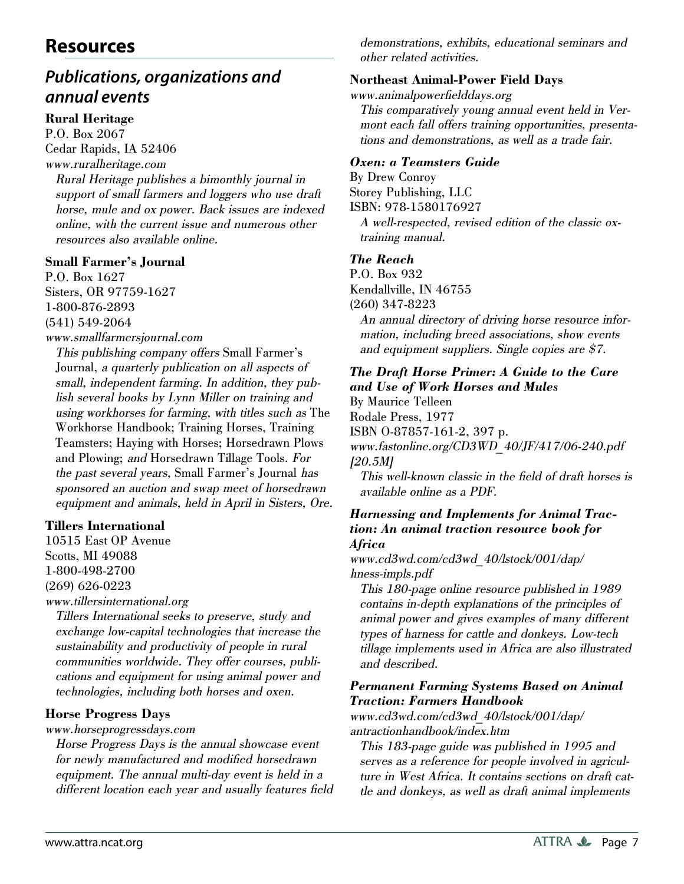# **Resources**

## **Publications, organizations and annual events**

#### **Rural Heritage**

P.O. Box 2067 Cedar Rapids, IA 52406 www.ruralheritage.com

Rural Heritage publishes a bimonthly journal in support of small farmers and loggers who use draft horse, mule and ox power. Back issues are indexed online, with the current issue and numerous other resources also available online.

## **Small Farmer's Journal**

P.O. Box 1627 Sisters, OR 97759-1627 1-800-876-2893 (541) 549-2064

## www.smallfarmersjournal.com

This publishing company offers Small Farmer's Journal, a quarterly publication on all aspects of small, independent farming. In addition, they publish several books by Lynn Miller on training and using workhorses for farming, with titles such as The Workhorse Handbook; Training Horses, Training Teamsters; Haying with Horses; Horsedrawn Plows and Plowing; and Horsedrawn Tillage Tools. For the past several years, Small Farmer's Journal has sponsored an auction and swap meet of horsedrawn equipment and animals, held in April in Sisters, Ore.

## **Tillers International**

10515 East OP Avenue Scotts, MI 49088 1-800-498-2700 (269) 626-0223 www.tillersinternational.org

Tillers International seeks to preserve, study and exchange low-capital technologies that increase the sustainability and productivity of people in rural communities worldwide. They offer courses, publications and equipment for using animal power and technologies, including both horses and oxen.

## **Horse Progress Days**

www.horseprogressdays.com

Horse Progress Days is the annual showcase event for newly manufactured and modified horsedrawn equipment. The annual multi-day event is held in a different location each year and usually features field demonstrations, exhibits, educational seminars and other related activities.

#### **Northeast Animal-Power Field Days**

www.animalpowerfielddays.org

This comparatively young annual event held in Vermont each fall offers training opportunities, presentations and demonstrations, as well as a trade fair.

#### *Oxen: a Teamsters Guide*

By Drew Conroy Storey Publishing, LLC ISBN: 978-1580176927 A well-respected, revised edition of the classic oxtraining manual.

## *The Reach*

P.O. Box 932 Kendallville, IN 46755 (260) 347-8223

An annual directory of driving horse resource information, including breed associations, show events and equipment suppliers. Single copies are \$7.

## *The Draft Horse Primer: A Guide to the Care and Use of Work Horses and Mules*

By Maurice Telleen Rodale Press, 1977 ISBN O-87857-161-2, 397 p. www.fastonline.org/CD3WD\_40/JF/417/06-240.pdf [20.5M] This well-known classic in the field of draft horses is available online as a PDF.

## *Harnessing and Implements for Animal Traction: An animal traction resource book for Africa*

www.cd3wd.com/cd3wd\_40/lstock/001/dap/ hness-impls.pdf

This 180-page online resource published in 1989 contains in-depth explanations of the principles of animal power and gives examples of many different types of harness for cattle and donkeys. Low-tech tillage implements used in Africa are also illustrated and described.

#### *Permanent Farming Systems Based on Animal Traction: Farmers Handbook*

www.cd3wd.com/cd3wd\_40/lstock/001/dap/ antractionhandbook/index.htm

This 183-page guide was published in 1995 and serves as a reference for people involved in agriculture in West Africa. It contains sections on draft cattle and donkeys, as well as draft animal implements